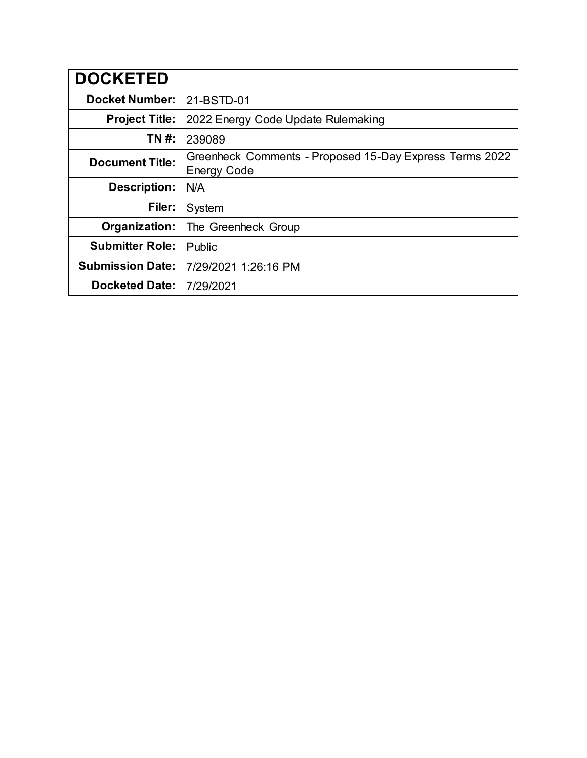| <b>DOCKETED</b>         |                                                                               |
|-------------------------|-------------------------------------------------------------------------------|
| <b>Docket Number:</b>   | 21-BSTD-01                                                                    |
| <b>Project Title:</b>   | 2022 Energy Code Update Rulemaking                                            |
| TN #:                   | 239089                                                                        |
| <b>Document Title:</b>  | Greenheck Comments - Proposed 15-Day Express Terms 2022<br><b>Energy Code</b> |
| <b>Description:</b>     | N/A                                                                           |
| Filer:                  | System                                                                        |
| Organization:           | The Greenheck Group                                                           |
| <b>Submitter Role:</b>  | Public                                                                        |
| <b>Submission Date:</b> | 7/29/2021 1:26:16 PM                                                          |
| <b>Docketed Date:</b>   | 7/29/2021                                                                     |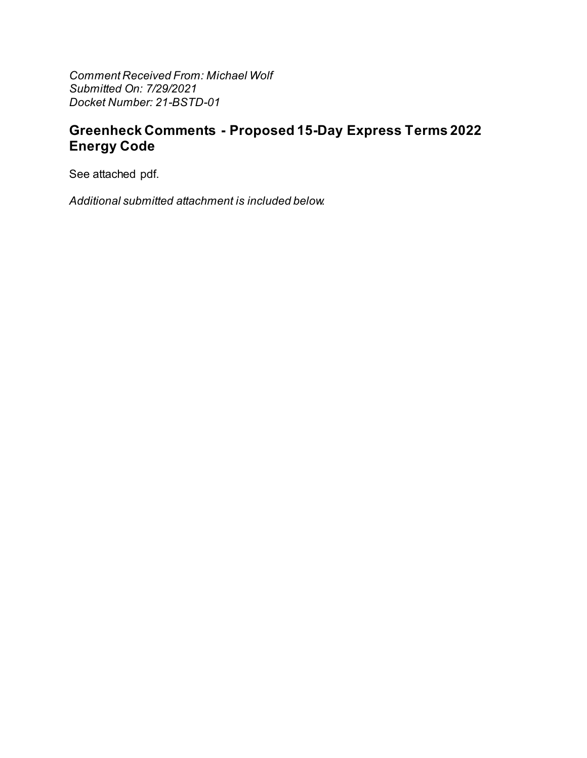**Comment Received From: Michael Wolf** Submitted On: 7/29/2021 Docket Number: 21-BSTD-01

## **Greenheck Comments - Proposed 15-Day Express Terms 2022 Energy Code**

See attached pdf.

Additional submitted attachment is included below.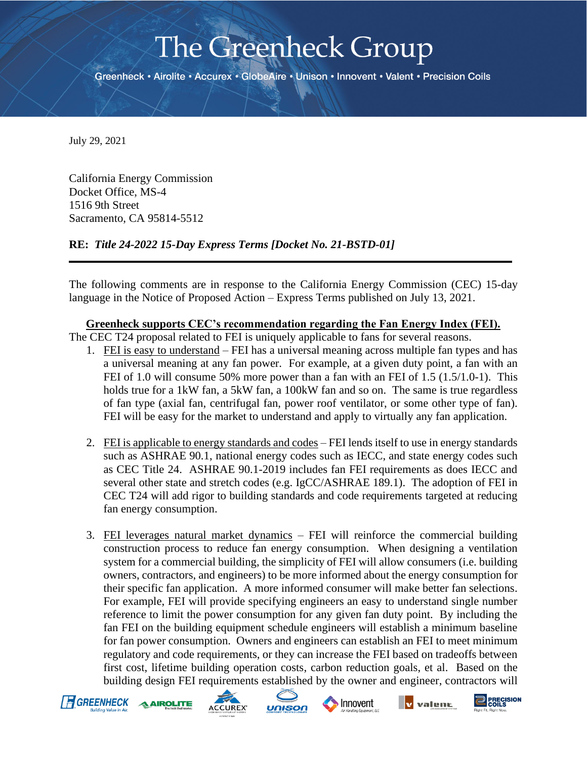# The Greenheck Group

Greenheck • Airolite • Accurex • GlobeAire • Unison • Innovent • Valent • Precision Coils

July 29, 2021

California Energy Commission Docket Office, MS-4 1516 9th Street Sacramento, CA 95814-5512

**RE:** *Title 24-2022 15-Day Express Terms [Docket No. 21-BSTD-01]*

The following comments are in response to the California Energy Commission (CEC) 15-day language in the Notice of Proposed Action – Express Terms published on July 13, 2021.

**Greenheck supports CEC's recommendation regarding the Fan Energy Index (FEI).**

The CEC T24 proposal related to FEI is uniquely applicable to fans for several reasons.

- 1. FEI is easy to understand FEI has a universal meaning across multiple fan types and has a universal meaning at any fan power. For example, at a given duty point, a fan with an FEI of 1.0 will consume 50% more power than a fan with an FEI of 1.5 (1.5/1.0-1). This holds true for a 1kW fan, a 5kW fan, a 100kW fan and so on. The same is true regardless of fan type (axial fan, centrifugal fan, power roof ventilator, or some other type of fan). FEI will be easy for the market to understand and apply to virtually any fan application.
- 2. FEI is applicable to energy standards and codes FEI lends itself to use in energy standards such as ASHRAE 90.1, national energy codes such as IECC, and state energy codes such as CEC Title 24. ASHRAE 90.1-2019 includes fan FEI requirements as does IECC and several other state and stretch codes (e.g. IgCC/ASHRAE 189.1). The adoption of FEI in CEC T24 will add rigor to building standards and code requirements targeted at reducing fan energy consumption.
- 3. FEI leverages natural market dynamics FEI will reinforce the commercial building construction process to reduce fan energy consumption. When designing a ventilation system for a commercial building, the simplicity of FEI will allow consumers (i.e. building owners, contractors, and engineers) to be more informed about the energy consumption for their specific fan application. A more informed consumer will make better fan selections. For example, FEI will provide specifying engineers an easy to understand single number reference to limit the power consumption for any given fan duty point. By including the fan FEI on the building equipment schedule engineers will establish a minimum baseline for fan power consumption. Owners and engineers can establish an FEI to meet minimum regulatory and code requirements, or they can increase the FEI based on tradeoffs between first cost, lifetime building operation costs, carbon reduction goals, et al. Based on the building design FEI requirements established by the owner and engineer, contractors will





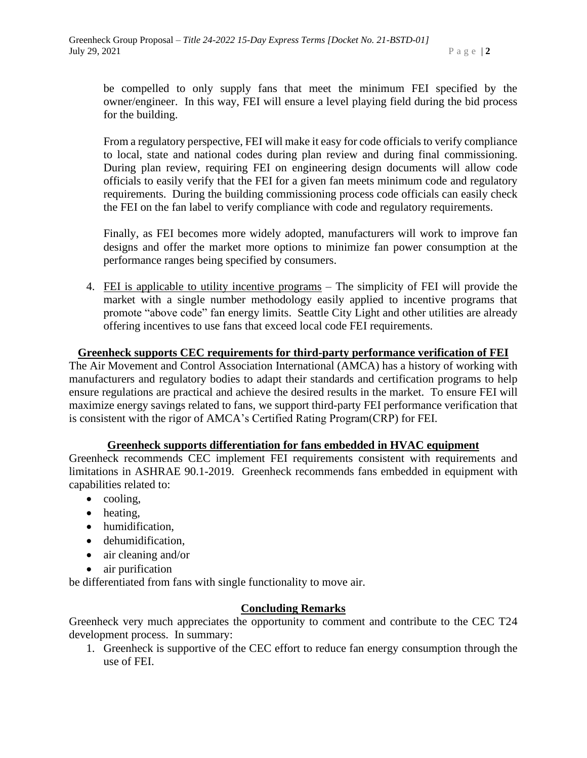be compelled to only supply fans that meet the minimum FEI specified by the owner/engineer. In this way, FEI will ensure a level playing field during the bid process for the building.

From a regulatory perspective, FEI will make it easy for code officials to verify compliance to local, state and national codes during plan review and during final commissioning. During plan review, requiring FEI on engineering design documents will allow code officials to easily verify that the FEI for a given fan meets minimum code and regulatory requirements. During the building commissioning process code officials can easily check the FEI on the fan label to verify compliance with code and regulatory requirements.

Finally, as FEI becomes more widely adopted, manufacturers will work to improve fan designs and offer the market more options to minimize fan power consumption at the performance ranges being specified by consumers.

4. FEI is applicable to utility incentive programs – The simplicity of FEI will provide the market with a single number methodology easily applied to incentive programs that promote "above code" fan energy limits. Seattle City Light and other utilities are already offering incentives to use fans that exceed local code FEI requirements.

#### **Greenheck supports CEC requirements for third-party performance verification of FEI**

The Air Movement and Control Association International (AMCA) has a history of working with manufacturers and regulatory bodies to adapt their standards and certification programs to help ensure regulations are practical and achieve the desired results in the market. To ensure FEI will maximize energy savings related to fans, we support third-party FEI performance verification that is consistent with the rigor of AMCA's Certified Rating Program(CRP) for FEI.

#### **Greenheck supports differentiation for fans embedded in HVAC equipment**

Greenheck recommends CEC implement FEI requirements consistent with requirements and limitations in ASHRAE 90.1-2019. Greenheck recommends fans embedded in equipment with capabilities related to:

- cooling,
- heating,
- humidification,
- dehumidification,
- air cleaning and/or
- air purification

be differentiated from fans with single functionality to move air.

#### **Concluding Remarks**

Greenheck very much appreciates the opportunity to comment and contribute to the CEC T24 development process. In summary:

1. Greenheck is supportive of the CEC effort to reduce fan energy consumption through the use of FEI.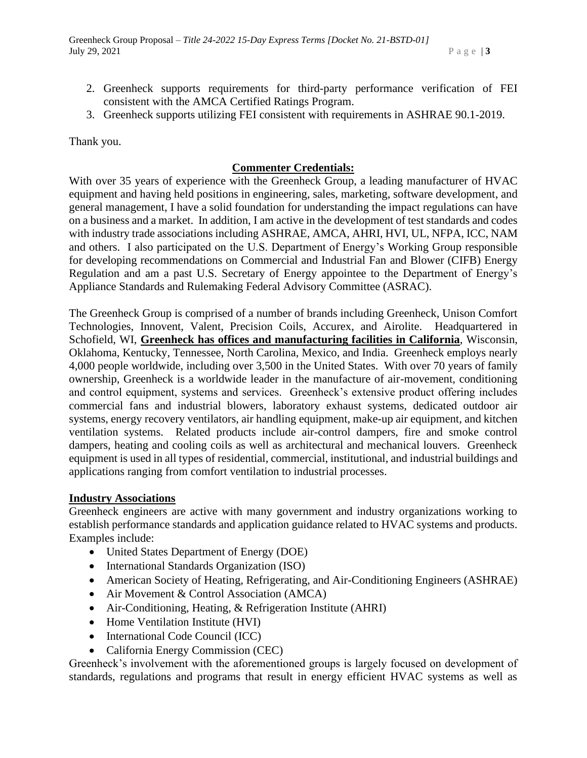- 2. Greenheck supports requirements for third-party performance verification of FEI consistent with the AMCA Certified Ratings Program.
- 3. Greenheck supports utilizing FEI consistent with requirements in ASHRAE 90.1-2019.

Thank you.

### **Commenter Credentials:**

With over 35 years of experience with the Greenheck Group, a leading manufacturer of HVAC equipment and having held positions in engineering, sales, marketing, software development, and general management, I have a solid foundation for understanding the impact regulations can have on a business and a market. In addition, I am active in the development of test standards and codes with industry trade associations including ASHRAE, AMCA, AHRI, HVI, UL, NFPA, ICC, NAM and others. I also participated on the U.S. Department of Energy's Working Group responsible for developing recommendations on Commercial and Industrial Fan and Blower (CIFB) Energy Regulation and am a past U.S. Secretary of Energy appointee to the Department of Energy's Appliance Standards and Rulemaking Federal Advisory Committee (ASRAC).

The Greenheck Group is comprised of a number of brands including Greenheck, Unison Comfort Technologies, Innovent, Valent, Precision Coils, Accurex, and Airolite. Headquartered in Schofield, WI, **Greenheck has offices and manufacturing facilities in California**, Wisconsin, Oklahoma, Kentucky, Tennessee, North Carolina, Mexico, and India. Greenheck employs nearly 4,000 people worldwide, including over 3,500 in the United States. With over 70 years of family ownership, Greenheck is a worldwide leader in the manufacture of air-movement, conditioning and control equipment, systems and services. Greenheck's extensive product offering includes commercial fans and industrial blowers, laboratory exhaust systems, dedicated outdoor air systems, energy recovery ventilators, air handling equipment, make-up air equipment, and kitchen ventilation systems. Related products include air-control dampers, fire and smoke control dampers, heating and cooling coils as well as architectural and mechanical louvers. Greenheck equipment is used in all types of residential, commercial, institutional, and industrial buildings and applications ranging from comfort ventilation to industrial processes.

#### **Industry Associations**

Greenheck engineers are active with many government and industry organizations working to establish performance standards and application guidance related to HVAC systems and products. Examples include:

- United States Department of Energy (DOE)
- International Standards Organization (ISO)
- American Society of Heating, Refrigerating, and Air-Conditioning Engineers (ASHRAE)
- Air Movement & Control Association (AMCA)
- Air-Conditioning, Heating, & Refrigeration Institute (AHRI)
- Home Ventilation Institute (HVI)
- International Code Council (ICC)
- California Energy Commission (CEC)

Greenheck's involvement with the aforementioned groups is largely focused on development of standards, regulations and programs that result in energy efficient HVAC systems as well as